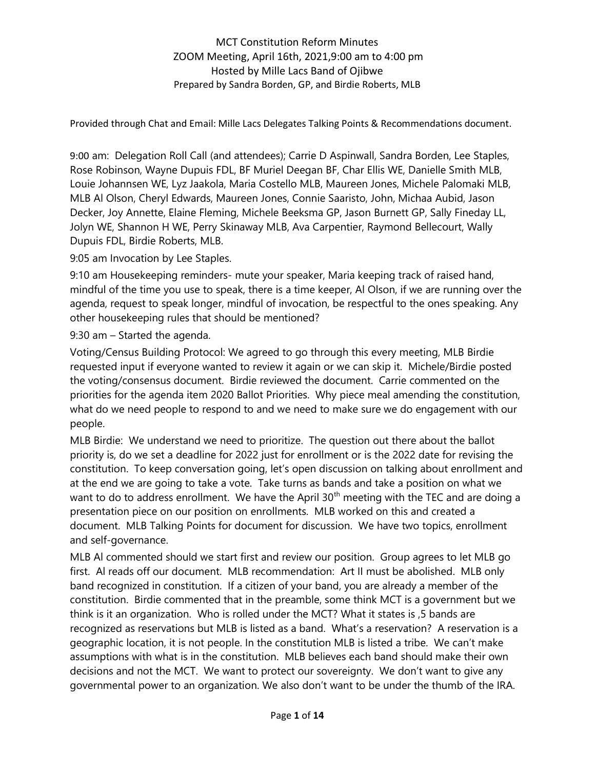Provided through Chat and Email: Mille Lacs Delegates Talking Points & Recommendations document.

9:00 am: Delegation Roll Call (and attendees); Carrie D Aspinwall, Sandra Borden, Lee Staples, Rose Robinson, Wayne Dupuis FDL, BF Muriel Deegan BF, Char Ellis WE, Danielle Smith MLB, Louie Johannsen WE, Lyz Jaakola, Maria Costello MLB, Maureen Jones, Michele Palomaki MLB, MLB Al Olson, Cheryl Edwards, Maureen Jones, Connie Saaristo, John, Michaa Aubid, Jason Decker, Joy Annette, Elaine Fleming, Michele Beeksma GP, Jason Burnett GP, Sally Fineday LL, Jolyn WE, Shannon H WE, Perry Skinaway MLB, Ava Carpentier, Raymond Bellecourt, Wally Dupuis FDL, Birdie Roberts, MLB.

9:05 am Invocation by Lee Staples.

9:10 am Housekeeping reminders- mute your speaker, Maria keeping track of raised hand, mindful of the time you use to speak, there is a time keeper, Al Olson, if we are running over the agenda, request to speak longer, mindful of invocation, be respectful to the ones speaking. Any other housekeeping rules that should be mentioned?

9:30 am – Started the agenda.

Voting/Census Building Protocol: We agreed to go through this every meeting, MLB Birdie requested input if everyone wanted to review it again or we can skip it. Michele/Birdie posted the voting/consensus document. Birdie reviewed the document. Carrie commented on the priorities for the agenda item 2020 Ballot Priorities. Why piece meal amending the constitution, what do we need people to respond to and we need to make sure we do engagement with our people.

MLB Birdie: We understand we need to prioritize. The question out there about the ballot priority is, do we set a deadline for 2022 just for enrollment or is the 2022 date for revising the constitution. To keep conversation going, let's open discussion on talking about enrollment and at the end we are going to take a vote. Take turns as bands and take a position on what we want to do to address enrollment. We have the April  $30<sup>th</sup>$  meeting with the TEC and are doing a presentation piece on our position on enrollments. MLB worked on this and created a document. MLB Talking Points for document for discussion. We have two topics, enrollment and self-governance.

MLB Al commented should we start first and review our position. Group agrees to let MLB go first. Al reads off our document. MLB recommendation: Art II must be abolished. MLB only band recognized in constitution. If a citizen of your band, you are already a member of the constitution. Birdie commented that in the preamble, some think MCT is a government but we think is it an organization. Who is rolled under the MCT? What it states is ,5 bands are recognized as reservations but MLB is listed as a band. What's a reservation? A reservation is a geographic location, it is not people. In the constitution MLB is listed a tribe. We can't make assumptions with what is in the constitution. MLB believes each band should make their own decisions and not the MCT. We want to protect our sovereignty. We don't want to give any governmental power to an organization. We also don't want to be under the thumb of the IRA.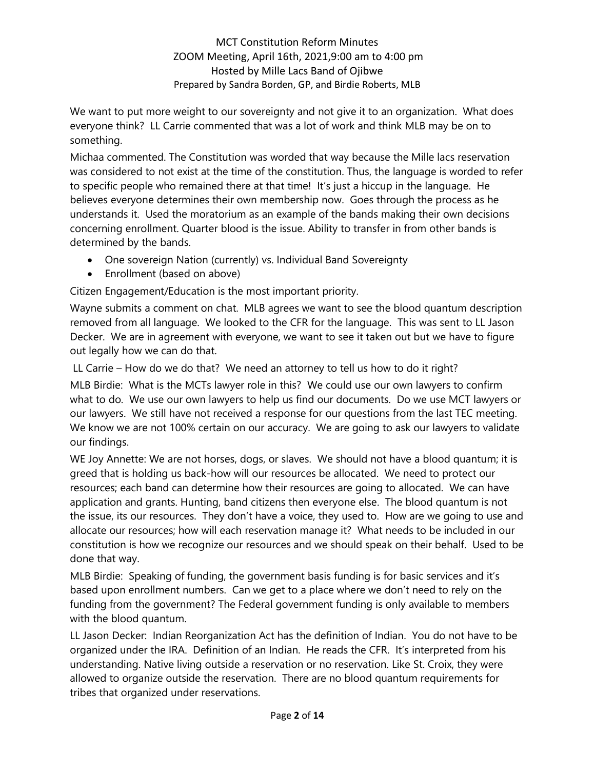We want to put more weight to our sovereignty and not give it to an organization. What does everyone think? LL Carrie commented that was a lot of work and think MLB may be on to something.

Michaa commented. The Constitution was worded that way because the Mille lacs reservation was considered to not exist at the time of the constitution. Thus, the language is worded to refer to specific people who remained there at that time! It's just a hiccup in the language. He believes everyone determines their own membership now. Goes through the process as he understands it. Used the moratorium as an example of the bands making their own decisions concerning enrollment. Quarter blood is the issue. Ability to transfer in from other bands is determined by the bands.

- One sovereign Nation (currently) vs. Individual Band Sovereignty
- Enrollment (based on above)

Citizen Engagement/Education is the most important priority.

Wayne submits a comment on chat. MLB agrees we want to see the blood quantum description removed from all language. We looked to the CFR for the language. This was sent to LL Jason Decker. We are in agreement with everyone, we want to see it taken out but we have to figure out legally how we can do that.

LL Carrie – How do we do that? We need an attorney to tell us how to do it right?

MLB Birdie: What is the MCTs lawyer role in this? We could use our own lawyers to confirm what to do. We use our own lawyers to help us find our documents. Do we use MCT lawyers or our lawyers. We still have not received a response for our questions from the last TEC meeting. We know we are not 100% certain on our accuracy. We are going to ask our lawyers to validate our findings.

WE Joy Annette: We are not horses, dogs, or slaves. We should not have a blood quantum; it is greed that is holding us back-how will our resources be allocated. We need to protect our resources; each band can determine how their resources are going to allocated. We can have application and grants. Hunting, band citizens then everyone else. The blood quantum is not the issue, its our resources. They don't have a voice, they used to. How are we going to use and allocate our resources; how will each reservation manage it? What needs to be included in our constitution is how we recognize our resources and we should speak on their behalf. Used to be done that way.

MLB Birdie: Speaking of funding, the government basis funding is for basic services and it's based upon enrollment numbers. Can we get to a place where we don't need to rely on the funding from the government? The Federal government funding is only available to members with the blood quantum.

LL Jason Decker: Indian Reorganization Act has the definition of Indian. You do not have to be organized under the IRA. Definition of an Indian. He reads the CFR. It's interpreted from his understanding. Native living outside a reservation or no reservation. Like St. Croix, they were allowed to organize outside the reservation. There are no blood quantum requirements for tribes that organized under reservations.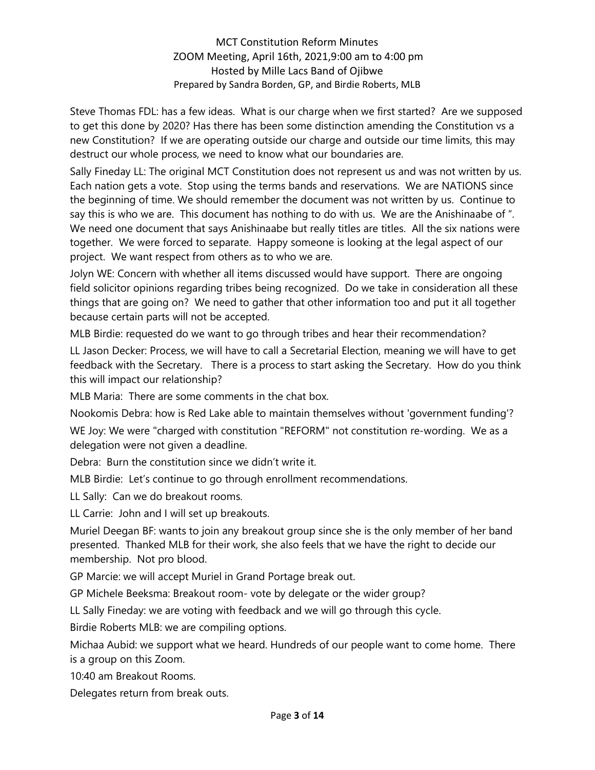Steve Thomas FDL: has a few ideas. What is our charge when we first started? Are we supposed to get this done by 2020? Has there has been some distinction amending the Constitution vs a new Constitution? If we are operating outside our charge and outside our time limits, this may destruct our whole process, we need to know what our boundaries are.

Sally Fineday LL: The original MCT Constitution does not represent us and was not written by us. Each nation gets a vote. Stop using the terms bands and reservations. We are NATIONS since the beginning of time. We should remember the document was not written by us. Continue to say this is who we are. This document has nothing to do with us. We are the Anishinaabe of ". We need one document that says Anishinaabe but really titles are titles. All the six nations were together. We were forced to separate. Happy someone is looking at the legal aspect of our project. We want respect from others as to who we are.

Jolyn WE: Concern with whether all items discussed would have support. There are ongoing field solicitor opinions regarding tribes being recognized. Do we take in consideration all these things that are going on? We need to gather that other information too and put it all together because certain parts will not be accepted.

MLB Birdie: requested do we want to go through tribes and hear their recommendation?

LL Jason Decker: Process, we will have to call a Secretarial Election, meaning we will have to get feedback with the Secretary. There is a process to start asking the Secretary. How do you think this will impact our relationship?

MLB Maria: There are some comments in the chat box.

Nookomis Debra: how is Red Lake able to maintain themselves without 'government funding'?

WE Joy: We were "charged with constitution "REFORM" not constitution re-wording. We as a delegation were not given a deadline.

Debra: Burn the constitution since we didn't write it.

MLB Birdie: Let's continue to go through enrollment recommendations.

LL Sally: Can we do breakout rooms.

LL Carrie: John and I will set up breakouts.

Muriel Deegan BF: wants to join any breakout group since she is the only member of her band presented. Thanked MLB for their work, she also feels that we have the right to decide our membership. Not pro blood.

GP Marcie: we will accept Muriel in Grand Portage break out.

GP Michele Beeksma: Breakout room- vote by delegate or the wider group?

LL Sally Fineday: we are voting with feedback and we will go through this cycle.

Birdie Roberts MLB: we are compiling options.

Michaa Aubid: we support what we heard. Hundreds of our people want to come home. There is a group on this Zoom.

10:40 am Breakout Rooms.

Delegates return from break outs.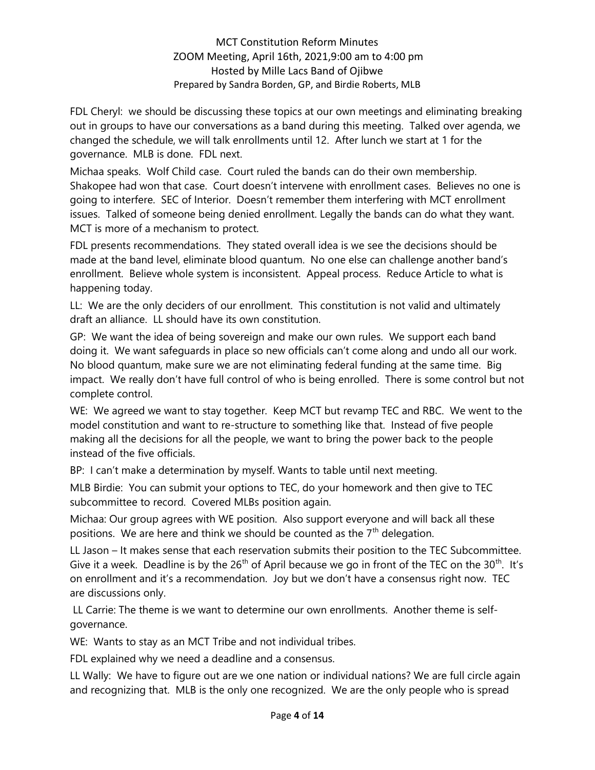FDL Cheryl: we should be discussing these topics at our own meetings and eliminating breaking out in groups to have our conversations as a band during this meeting. Talked over agenda, we changed the schedule, we will talk enrollments until 12. After lunch we start at 1 for the governance. MLB is done. FDL next.

Michaa speaks. Wolf Child case. Court ruled the bands can do their own membership. Shakopee had won that case. Court doesn't intervene with enrollment cases. Believes no one is going to interfere. SEC of Interior. Doesn't remember them interfering with MCT enrollment issues. Talked of someone being denied enrollment. Legally the bands can do what they want. MCT is more of a mechanism to protect.

FDL presents recommendations. They stated overall idea is we see the decisions should be made at the band level, eliminate blood quantum. No one else can challenge another band's enrollment. Believe whole system is inconsistent. Appeal process. Reduce Article to what is happening today.

LL: We are the only deciders of our enrollment. This constitution is not valid and ultimately draft an alliance. LL should have its own constitution.

GP: We want the idea of being sovereign and make our own rules. We support each band doing it. We want safeguards in place so new officials can't come along and undo all our work. No blood quantum, make sure we are not eliminating federal funding at the same time. Big impact. We really don't have full control of who is being enrolled. There is some control but not complete control.

WE: We agreed we want to stay together. Keep MCT but revamp TEC and RBC. We went to the model constitution and want to re-structure to something like that. Instead of five people making all the decisions for all the people, we want to bring the power back to the people instead of the five officials.

BP: I can't make a determination by myself. Wants to table until next meeting.

MLB Birdie: You can submit your options to TEC, do your homework and then give to TEC subcommittee to record. Covered MLBs position again.

Michaa: Our group agrees with WE position. Also support everyone and will back all these positions. We are here and think we should be counted as the  $7<sup>th</sup>$  delegation.

LL Jason – It makes sense that each reservation submits their position to the TEC Subcommittee. Give it a week. Deadline is by the  $26<sup>th</sup>$  of April because we go in front of the TEC on the  $30<sup>th</sup>$ . It's on enrollment and it's a recommendation. Joy but we don't have a consensus right now. TEC are discussions only.

 LL Carrie: The theme is we want to determine our own enrollments. Another theme is selfgovernance.

WE: Wants to stay as an MCT Tribe and not individual tribes.

FDL explained why we need a deadline and a consensus.

LL Wally: We have to figure out are we one nation or individual nations? We are full circle again and recognizing that. MLB is the only one recognized. We are the only people who is spread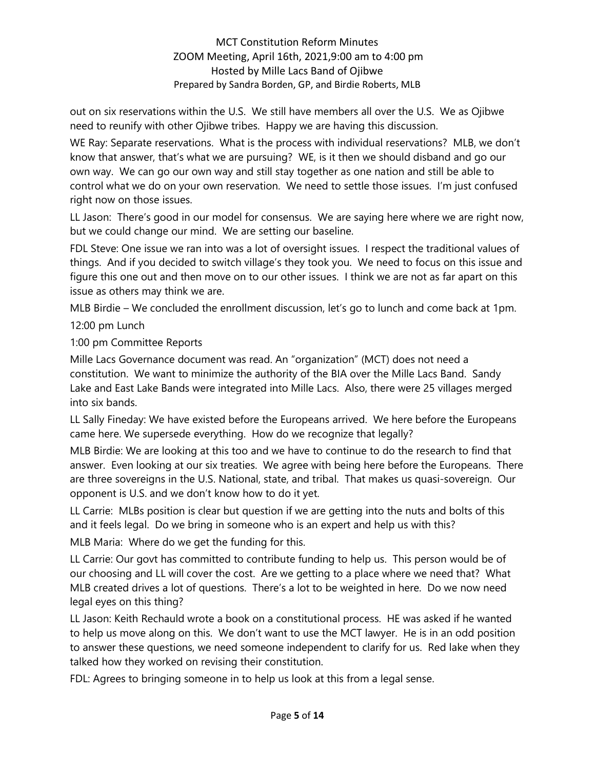out on six reservations within the U.S. We still have members all over the U.S. We as Ojibwe need to reunify with other Ojibwe tribes. Happy we are having this discussion.

WE Ray: Separate reservations. What is the process with individual reservations? MLB, we don't know that answer, that's what we are pursuing? WE, is it then we should disband and go our own way. We can go our own way and still stay together as one nation and still be able to control what we do on your own reservation. We need to settle those issues. I'm just confused right now on those issues.

LL Jason: There's good in our model for consensus. We are saying here where we are right now, but we could change our mind. We are setting our baseline.

FDL Steve: One issue we ran into was a lot of oversight issues. I respect the traditional values of things. And if you decided to switch village's they took you. We need to focus on this issue and figure this one out and then move on to our other issues. I think we are not as far apart on this issue as others may think we are.

MLB Birdie – We concluded the enrollment discussion, let's go to lunch and come back at 1pm. 12:00 pm Lunch

1:00 pm Committee Reports

Mille Lacs Governance document was read. An "organization" (MCT) does not need a constitution. We want to minimize the authority of the BIA over the Mille Lacs Band. Sandy Lake and East Lake Bands were integrated into Mille Lacs. Also, there were 25 villages merged into six bands.

LL Sally Fineday: We have existed before the Europeans arrived. We here before the Europeans came here. We supersede everything. How do we recognize that legally?

MLB Birdie: We are looking at this too and we have to continue to do the research to find that answer. Even looking at our six treaties. We agree with being here before the Europeans. There are three sovereigns in the U.S. National, state, and tribal. That makes us quasi-sovereign. Our opponent is U.S. and we don't know how to do it yet.

LL Carrie: MLBs position is clear but question if we are getting into the nuts and bolts of this and it feels legal. Do we bring in someone who is an expert and help us with this?

MLB Maria: Where do we get the funding for this.

LL Carrie: Our govt has committed to contribute funding to help us. This person would be of our choosing and LL will cover the cost. Are we getting to a place where we need that? What MLB created drives a lot of questions. There's a lot to be weighted in here. Do we now need legal eyes on this thing?

LL Jason: Keith Rechauld wrote a book on a constitutional process. HE was asked if he wanted to help us move along on this. We don't want to use the MCT lawyer. He is in an odd position to answer these questions, we need someone independent to clarify for us. Red lake when they talked how they worked on revising their constitution.

FDL: Agrees to bringing someone in to help us look at this from a legal sense.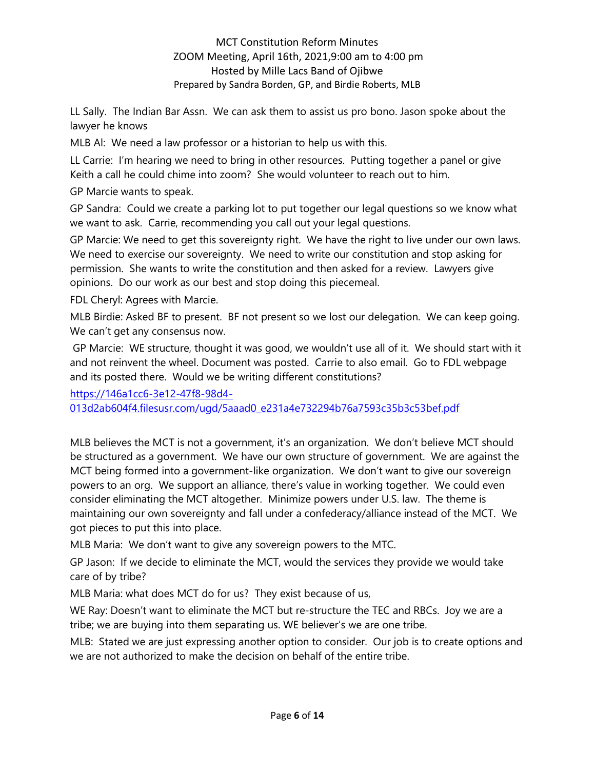LL Sally. The Indian Bar Assn. We can ask them to assist us pro bono. Jason spoke about the lawyer he knows

MLB Al: We need a law professor or a historian to help us with this.

LL Carrie: I'm hearing we need to bring in other resources. Putting together a panel or give Keith a call he could chime into zoom? She would volunteer to reach out to him.

GP Marcie wants to speak.

GP Sandra: Could we create a parking lot to put together our legal questions so we know what we want to ask. Carrie, recommending you call out your legal questions.

GP Marcie: We need to get this sovereignty right. We have the right to live under our own laws. We need to exercise our sovereignty. We need to write our constitution and stop asking for permission. She wants to write the constitution and then asked for a review. Lawyers give opinions. Do our work as our best and stop doing this piecemeal.

FDL Cheryl: Agrees with Marcie.

MLB Birdie: Asked BF to present. BF not present so we lost our delegation. We can keep going. We can't get any consensus now.

 GP Marcie: WE structure, thought it was good, we wouldn't use all of it. We should start with it and not reinvent the wheel. Document was posted. Carrie to also email. Go to FDL webpage and its posted there. Would we be writing different constitutions?

https://146a1cc6-3e12-47f8-98d4-

013d2ab604f4.filesusr.com/ugd/5aaad0\_e231a4e732294b76a7593c35b3c53bef.pdf

MLB believes the MCT is not a government, it's an organization. We don't believe MCT should be structured as a government. We have our own structure of government. We are against the MCT being formed into a government-like organization. We don't want to give our sovereign powers to an org. We support an alliance, there's value in working together. We could even consider eliminating the MCT altogether. Minimize powers under U.S. law. The theme is maintaining our own sovereignty and fall under a confederacy/alliance instead of the MCT. We got pieces to put this into place.

MLB Maria: We don't want to give any sovereign powers to the MTC.

GP Jason: If we decide to eliminate the MCT, would the services they provide we would take care of by tribe?

MLB Maria: what does MCT do for us? They exist because of us,

WE Ray: Doesn't want to eliminate the MCT but re-structure the TEC and RBCs. Joy we are a tribe; we are buying into them separating us. WE believer's we are one tribe.

MLB: Stated we are just expressing another option to consider. Our job is to create options and we are not authorized to make the decision on behalf of the entire tribe.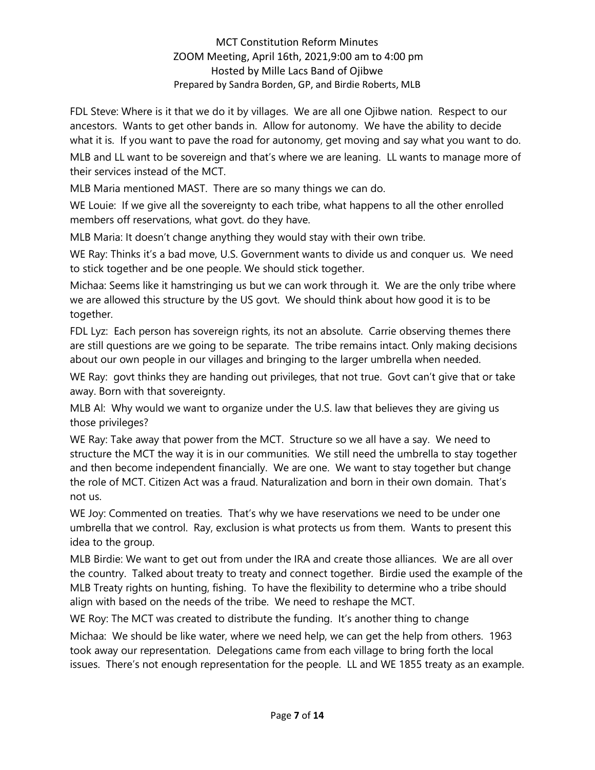FDL Steve: Where is it that we do it by villages. We are all one Ojibwe nation. Respect to our ancestors. Wants to get other bands in. Allow for autonomy. We have the ability to decide what it is. If you want to pave the road for autonomy, get moving and say what you want to do.

MLB and LL want to be sovereign and that's where we are leaning. LL wants to manage more of their services instead of the MCT.

MLB Maria mentioned MAST. There are so many things we can do.

WE Louie: If we give all the sovereignty to each tribe, what happens to all the other enrolled members off reservations, what govt. do they have.

MLB Maria: It doesn't change anything they would stay with their own tribe.

WE Ray: Thinks it's a bad move, U.S. Government wants to divide us and conquer us. We need to stick together and be one people. We should stick together.

Michaa: Seems like it hamstringing us but we can work through it. We are the only tribe where we are allowed this structure by the US govt. We should think about how good it is to be together.

FDL Lyz: Each person has sovereign rights, its not an absolute. Carrie observing themes there are still questions are we going to be separate. The tribe remains intact. Only making decisions about our own people in our villages and bringing to the larger umbrella when needed.

WE Ray: govt thinks they are handing out privileges, that not true. Govt can't give that or take away. Born with that sovereignty.

MLB Al: Why would we want to organize under the U.S. law that believes they are giving us those privileges?

WE Ray: Take away that power from the MCT. Structure so we all have a say. We need to structure the MCT the way it is in our communities. We still need the umbrella to stay together and then become independent financially. We are one. We want to stay together but change the role of MCT. Citizen Act was a fraud. Naturalization and born in their own domain. That's not us.

WE Joy: Commented on treaties. That's why we have reservations we need to be under one umbrella that we control. Ray, exclusion is what protects us from them. Wants to present this idea to the group.

MLB Birdie: We want to get out from under the IRA and create those alliances. We are all over the country. Talked about treaty to treaty and connect together. Birdie used the example of the MLB Treaty rights on hunting, fishing. To have the flexibility to determine who a tribe should align with based on the needs of the tribe. We need to reshape the MCT.

WE Roy: The MCT was created to distribute the funding. It's another thing to change

Michaa: We should be like water, where we need help, we can get the help from others. 1963 took away our representation. Delegations came from each village to bring forth the local issues. There's not enough representation for the people. LL and WE 1855 treaty as an example.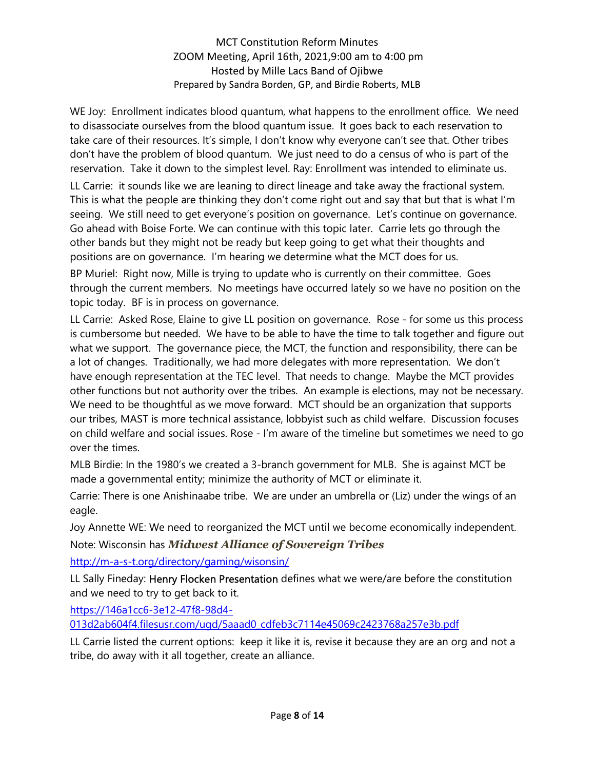WE Joy: Enrollment indicates blood quantum, what happens to the enrollment office. We need to disassociate ourselves from the blood quantum issue. It goes back to each reservation to take care of their resources. It's simple, I don't know why everyone can't see that. Other tribes don't have the problem of blood quantum. We just need to do a census of who is part of the reservation. Take it down to the simplest level. Ray: Enrollment was intended to eliminate us.

LL Carrie: it sounds like we are leaning to direct lineage and take away the fractional system. This is what the people are thinking they don't come right out and say that but that is what I'm seeing. We still need to get everyone's position on governance. Let's continue on governance. Go ahead with Boise Forte. We can continue with this topic later. Carrie lets go through the other bands but they might not be ready but keep going to get what their thoughts and positions are on governance. I'm hearing we determine what the MCT does for us.

BP Muriel: Right now, Mille is trying to update who is currently on their committee. Goes through the current members. No meetings have occurred lately so we have no position on the topic today. BF is in process on governance.

LL Carrie: Asked Rose, Elaine to give LL position on governance. Rose - for some us this process is cumbersome but needed. We have to be able to have the time to talk together and figure out what we support. The governance piece, the MCT, the function and responsibility, there can be a lot of changes. Traditionally, we had more delegates with more representation. We don't have enough representation at the TEC level. That needs to change. Maybe the MCT provides other functions but not authority over the tribes. An example is elections, may not be necessary. We need to be thoughtful as we move forward. MCT should be an organization that supports our tribes, MAST is more technical assistance, lobbyist such as child welfare. Discussion focuses on child welfare and social issues. Rose - I'm aware of the timeline but sometimes we need to go over the times.

MLB Birdie: In the 1980's we created a 3-branch government for MLB. She is against MCT be made a governmental entity; minimize the authority of MCT or eliminate it.

Carrie: There is one Anishinaabe tribe. We are under an umbrella or (Liz) under the wings of an eagle.

Joy Annette WE: We need to reorganized the MCT until we become economically independent. Note: Wisconsin has *Midwest Alliance of Sovereign Tribes* 

http://m-a-s-t.org/directory/gaming/wisonsin/

LL Sally Fineday: Henry Flocken Presentation defines what we were/are before the constitution and we need to try to get back to it.

https://146a1cc6-3e12-47f8-98d4-

013d2ab604f4.filesusr.com/ugd/5aaad0\_cdfeb3c7114e45069c2423768a257e3b.pdf

LL Carrie listed the current options: keep it like it is, revise it because they are an org and not a tribe, do away with it all together, create an alliance.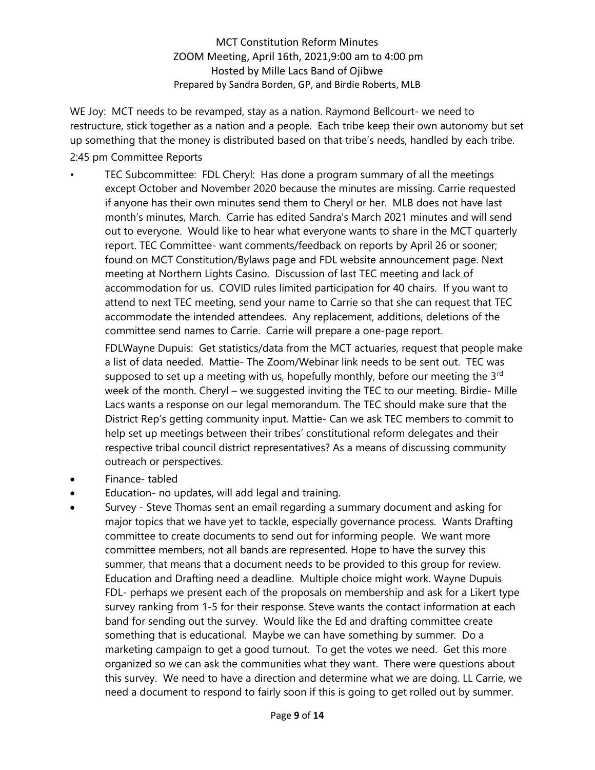WE Joy: MCT needs to be revamped, stay as a nation. Raymond Bellcourt- we need to restructure, stick together as a nation and a people. Each tribe keep their own autonomy but set up something that the money is distributed based on that tribe's needs, handled by each tribe.

2:45 pm Committee Reports

• TEC Subcommittee: FDL Cheryl: Has done a program summary of all the meetings except October and November 2020 because the minutes are missing. Carrie requested if anyone has their own minutes send them to Cheryl or her. MLB does not have last month's minutes, March. Carrie has edited Sandra's March 2021 minutes and will send out to everyone. Would like to hear what everyone wants to share in the MCT quarterly report. TEC Committee- want comments/feedback on reports by April 26 or sooner; found on MCT Constitution/Bylaws page and FDL website announcement page. Next meeting at Northern Lights Casino. Discussion of last TEC meeting and lack of accommodation for us. COVID rules limited participation for 40 chairs. If you want to attend to next TEC meeting, send your name to Carrie so that she can request that TEC accommodate the intended attendees. Any replacement, additions, deletions of the committee send names to Carrie. Carrie will prepare a one-page report.

FDLWayne Dupuis: Get statistics/data from the MCT actuaries, request that people make a list of data needed. Mattie- The Zoom/Webinar link needs to be sent out. TEC was supposed to set up a meeting with us, hopefully monthly, before our meeting the  $3<sup>rd</sup>$ week of the month. Cheryl – we suggested inviting the TEC to our meeting. Birdie- Mille Lacs wants a response on our legal memorandum. The TEC should make sure that the District Rep's getting community input. Mattie- Can we ask TEC members to commit to help set up meetings between their tribes' constitutional reform delegates and their respective tribal council district representatives? As a means of discussing community outreach or perspectives.

- Finance- tabled
- Education- no updates, will add legal and training.
- Survey Steve Thomas sent an email regarding a summary document and asking for major topics that we have yet to tackle, especially governance process. Wants Drafting committee to create documents to send out for informing people. We want more committee members, not all bands are represented. Hope to have the survey this summer, that means that a document needs to be provided to this group for review. Education and Drafting need a deadline. Multiple choice might work. Wayne Dupuis FDL- perhaps we present each of the proposals on membership and ask for a Likert type survey ranking from 1-5 for their response. Steve wants the contact information at each band for sending out the survey. Would like the Ed and drafting committee create something that is educational. Maybe we can have something by summer. Do a marketing campaign to get a good turnout. To get the votes we need. Get this more organized so we can ask the communities what they want. There were questions about this survey. We need to have a direction and determine what we are doing. LL Carrie, we need a document to respond to fairly soon if this is going to get rolled out by summer.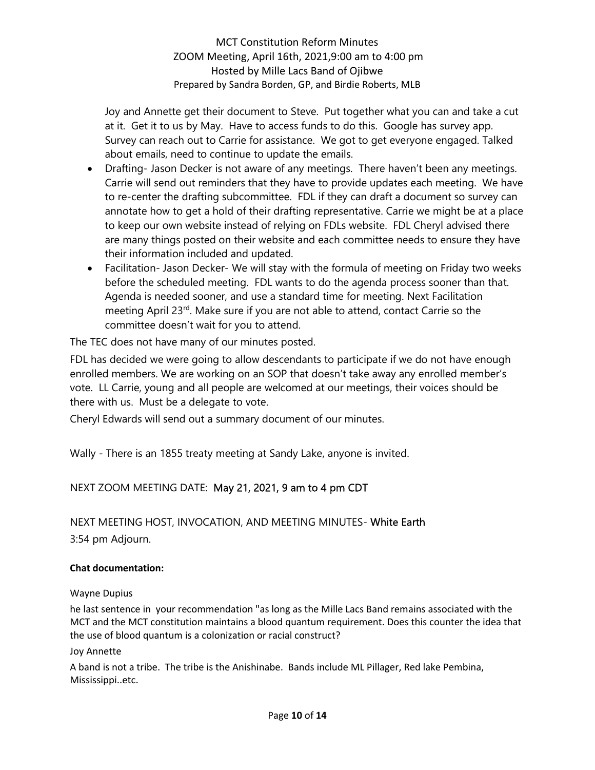Joy and Annette get their document to Steve. Put together what you can and take a cut at it. Get it to us by May. Have to access funds to do this. Google has survey app. Survey can reach out to Carrie for assistance. We got to get everyone engaged. Talked about emails, need to continue to update the emails.

- Drafting- Jason Decker is not aware of any meetings. There haven't been any meetings. Carrie will send out reminders that they have to provide updates each meeting. We have to re-center the drafting subcommittee. FDL if they can draft a document so survey can annotate how to get a hold of their drafting representative. Carrie we might be at a place to keep our own website instead of relying on FDLs website. FDL Cheryl advised there are many things posted on their website and each committee needs to ensure they have their information included and updated.
- Facilitation- Jason Decker- We will stay with the formula of meeting on Friday two weeks before the scheduled meeting. FDL wants to do the agenda process sooner than that. Agenda is needed sooner, and use a standard time for meeting. Next Facilitation meeting April 23<sup>rd</sup>. Make sure if you are not able to attend, contact Carrie so the committee doesn't wait for you to attend.

The TEC does not have many of our minutes posted.

FDL has decided we were going to allow descendants to participate if we do not have enough enrolled members. We are working on an SOP that doesn't take away any enrolled member's vote. LL Carrie, young and all people are welcomed at our meetings, their voices should be there with us. Must be a delegate to vote.

Cheryl Edwards will send out a summary document of our minutes.

Wally - There is an 1855 treaty meeting at Sandy Lake, anyone is invited.

# NEXT ZOOM MEETING DATE: May 21, 2021, 9 am to 4 pm CDT

NEXT MEETING HOST, INVOCATION, AND MEETING MINUTES- White Earth 3:54 pm Adjourn.

### Chat documentation:

### Wayne Dupius

he last sentence in your recommendation "as long as the Mille Lacs Band remains associated with the MCT and the MCT constitution maintains a blood quantum requirement. Does this counter the idea that the use of blood quantum is a colonization or racial construct?

### Joy Annette

A band is not a tribe. The tribe is the Anishinabe. Bands include ML Pillager, Red lake Pembina, Mississippi..etc.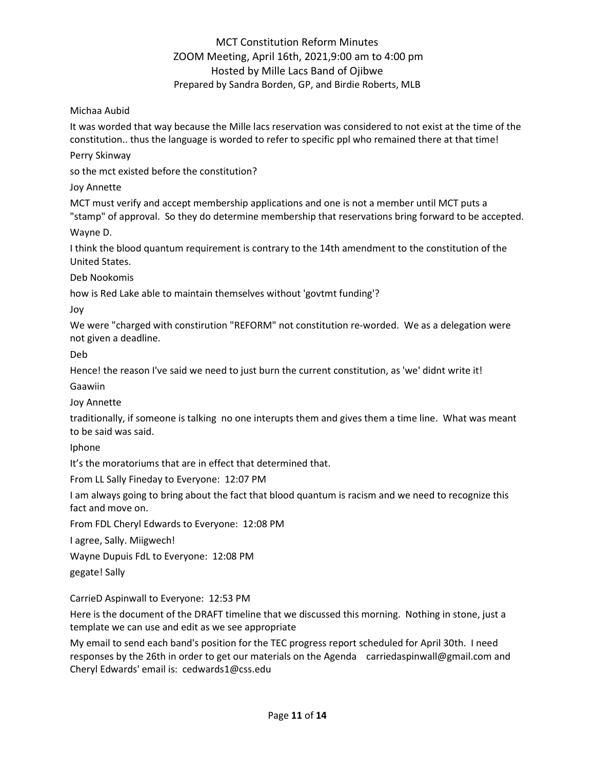Michaa Aubid

It was worded that way because the Mille lacs reservation was considered to not exist at the time of the constitution.. thus the language is worded to refer to specific ppl who remained there at that time!

Perry Skinway

so the mct existed before the constitution?

Joy Annette

MCT must verify and accept membership applications and one is not a member until MCT puts a "stamp" of approval. So they do determine membership that reservations bring forward to be accepted.

Wayne D.

I think the blood quantum requirement is contrary to the 14th amendment to the constitution of the United States.

Deb Nookomis

how is Red Lake able to maintain themselves without 'govtmt funding'?

Joy

We were "charged with constirution "REFORM" not constitution re-worded. We as a delegation were not given a deadline.

Deb

Hence! the reason I've said we need to just burn the current constitution, as 'we' didnt write it!

Gaawiin

Joy Annette

traditionally, if someone is talking no one interupts them and gives them a time line. What was meant to be said was said.

Iphone

It's the moratoriums that are in effect that determined that.

From LL Sally Fineday to Everyone: 12:07 PM

I am always going to bring about the fact that blood quantum is racism and we need to recognize this fact and move on.

From FDL Cheryl Edwards to Everyone: 12:08 PM

I agree, Sally. Miigwech!

Wayne Dupuis FdL to Everyone: 12:08 PM

gegate! Sally

CarrieD Aspinwall to Everyone: 12:53 PM

Here is the document of the DRAFT timeline that we discussed this morning. Nothing in stone, just a template we can use and edit as we see appropriate

My email to send each band's position for the TEC progress report scheduled for April 30th. I need responses by the 26th in order to get our materials on the Agenda carriedaspinwall@gmail.com and Cheryl Edwards' email is: cedwards1@css.edu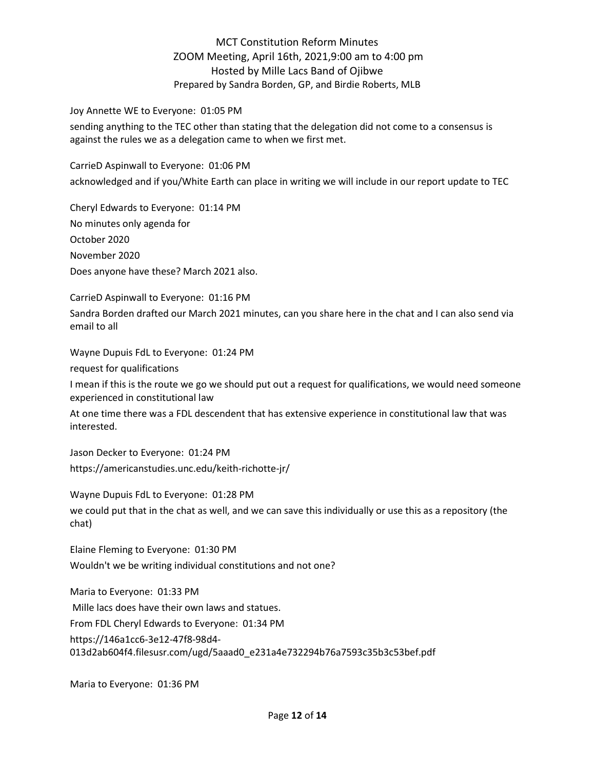#### Joy Annette WE to Everyone: 01:05 PM

sending anything to the TEC other than stating that the delegation did not come to a consensus is against the rules we as a delegation came to when we first met.

CarrieD Aspinwall to Everyone: 01:06 PM acknowledged and if you/White Earth can place in writing we will include in our report update to TEC

Cheryl Edwards to Everyone: 01:14 PM No minutes only agenda for October 2020 November 2020 Does anyone have these? March 2021 also.

CarrieD Aspinwall to Everyone: 01:16 PM Sandra Borden drafted our March 2021 minutes, can you share here in the chat and I can also send via email to all

Wayne Dupuis FdL to Everyone: 01:24 PM

request for qualifications

I mean if this is the route we go we should put out a request for qualifications, we would need someone experienced in constitutional law

At one time there was a FDL descendent that has extensive experience in constitutional law that was interested.

Jason Decker to Everyone: 01:24 PM https://americanstudies.unc.edu/keith-richotte-jr/

Wayne Dupuis FdL to Everyone: 01:28 PM

we could put that in the chat as well, and we can save this individually or use this as a repository (the chat)

Elaine Fleming to Everyone: 01:30 PM Wouldn't we be writing individual constitutions and not one?

Maria to Everyone: 01:33 PM Mille lacs does have their own laws and statues. From FDL Cheryl Edwards to Everyone: 01:34 PM https://146a1cc6-3e12-47f8-98d4- 013d2ab604f4.filesusr.com/ugd/5aaad0\_e231a4e732294b76a7593c35b3c53bef.pdf

Maria to Everyone: 01:36 PM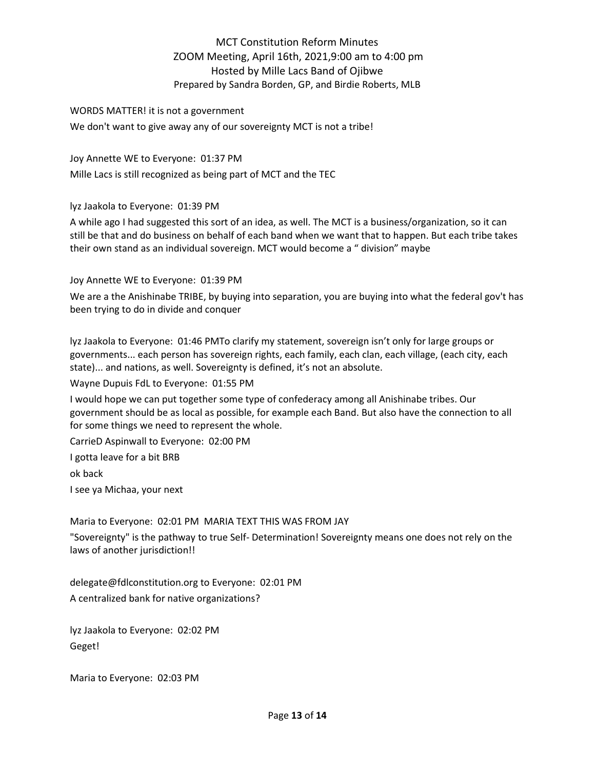### WORDS MATTER! it is not a government We don't want to give away any of our sovereignty MCT is not a tribe!

Joy Annette WE to Everyone: 01:37 PM Mille Lacs is still recognized as being part of MCT and the TEC

lyz Jaakola to Everyone: 01:39 PM

A while ago I had suggested this sort of an idea, as well. The MCT is a business/organization, so it can still be that and do business on behalf of each band when we want that to happen. But each tribe takes their own stand as an individual sovereign. MCT would become a " division" maybe

Joy Annette WE to Everyone: 01:39 PM

We are a the Anishinabe TRIBE, by buying into separation, you are buying into what the federal gov't has been trying to do in divide and conquer

lyz Jaakola to Everyone: 01:46 PMTo clarify my statement, sovereign isn't only for large groups or governments... each person has sovereign rights, each family, each clan, each village, (each city, each state)... and nations, as well. Sovereignty is defined, it's not an absolute.

Wayne Dupuis FdL to Everyone: 01:55 PM

I would hope we can put together some type of confederacy among all Anishinabe tribes. Our government should be as local as possible, for example each Band. But also have the connection to all for some things we need to represent the whole.

CarrieD Aspinwall to Everyone: 02:00 PM

I gotta leave for a bit BRB

ok back

I see ya Michaa, your next

Maria to Everyone: 02:01 PM MARIA TEXT THIS WAS FROM JAY

"Sovereignty" is the pathway to true Self- Determination! Sovereignty means one does not rely on the laws of another jurisdiction!!

delegate@fdlconstitution.org to Everyone: 02:01 PM A centralized bank for native organizations?

lyz Jaakola to Everyone: 02:02 PM Geget!

Maria to Everyone: 02:03 PM